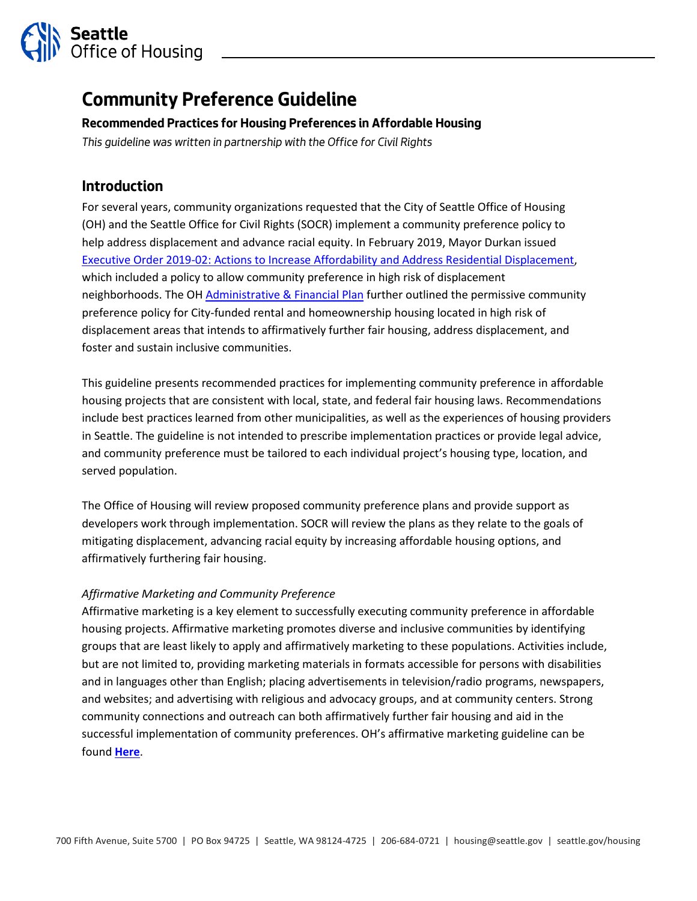

# **Community Preference Guideline**

### **Recommended Practices for Housing Preferences in Affordable Housing**

*This guideline was written in partnership with the Office for Civil Rights* 

# **Introduction**

For several years, community organizations requested that the City of Seattle Office of Housing (OH) and the Seattle Office for Civil Rights (SOCR) implement a community preference policy to help address displacement and advance racial equity. In February 2019, Mayor Durkan issued [Executive Order 2019-02: Actions to Increase Affordability and Address Residential Displacement,](https://durkan.seattle.gov/wp-content/uploads/sites/9/2019/02/2019-02-20-Executive-Order-2019-02-Affordability-and-Anti-displacement.pdf) which included a policy to allow community preference in high risk of displacement neighborhoods. The O[H Administrative & Financial Plan](https://www.seattle.gov/Documents/Departments/Housing/Footer%20Pages/Data%20and%20Reports/Administrative-Financial%20Plan%20with%20Funding%20Policies.pdf) further outlined the permissive community preference policy for City-funded rental and homeownership housing located in high risk of displacement areas that intends to affirmatively further fair housing, address displacement, and foster and sustain inclusive communities.

This guideline presents recommended practices for implementing community preference in affordable housing projects that are consistent with local, state, and federal fair housing laws. Recommendations include best practices learned from other municipalities, as well as the experiences of housing providers in Seattle. The guideline is not intended to prescribe implementation practices or provide legal advice, and community preference must be tailored to each individual project's housing type, location, and served population.

The Office of Housing will review proposed community preference plans and provide support as developers work through implementation. SOCR will review the plans as they relate to the goals of mitigating displacement, advancing racial equity by increasing affordable housing options, and affirmatively furthering fair housing.

#### *Affirmative Marketing and Community Preference*

Affirmative marketing is a key element to successfully executing community preference in affordable housing projects. Affirmative marketing promotes diverse and inclusive communities by identifying groups that are least likely to apply and affirmatively marketing to these populations. Activities include, but are not limited to, providing marketing materials in formats accessible for persons with disabilities and in languages other than English; placing advertisements in television/radio programs, newspapers, and websites; and advertising with religious and advocacy groups, and at community centers. Strong community connections and outreach can both affirmatively further fair housing and aid in the successful implementation of community preferences. OH's affirmative marketing guideline can be found **[Here](http://www.seattle.gov/housing/housing-developers/multifamily-tax-exemption)**.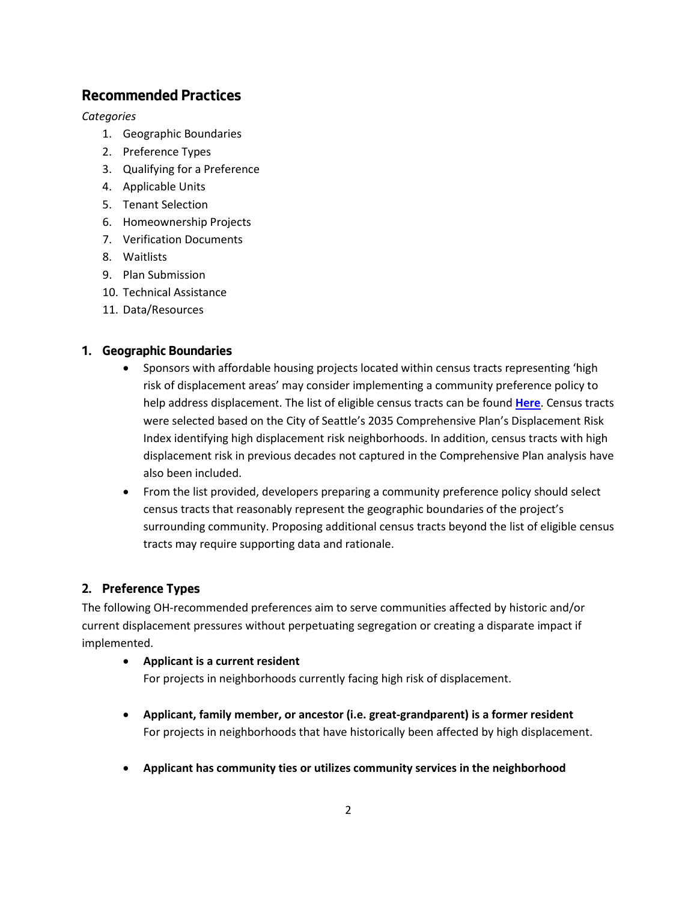# **Recommended Practices**

*Categories*

- 1. Geographic Boundaries
- 2. Preference Types
- 3. Qualifying for a Preference
- 4. Applicable Units
- 5. Tenant Selection
- 6. Homeownership Projects
- 7. Verification Documents
- 8. Waitlists
- 9. Plan Submission
- 10. Technical Assistance
- 11. Data/Resources

### **1. Geographic Boundaries**

- Sponsors with affordable housing projects located within census tracts representing 'high risk of displacement areas' may consider implementing a community preference policy to help address displacement. The list of eligible census tracts can be found **[Here](http://www.seattle.gov/Documents/Departments/Housing/Programs%20and%20Initiatives/Community%20Preference/Geographic%20Boundaries%20Map%20and%20Census%20Tract%20List.pdf)**. Census tracts were selected based on the City of Seattle's 2035 Comprehensive Plan's Displacement Risk Index identifying high displacement risk neighborhoods. In addition, census tracts with high displacement risk in previous decades not captured in the Comprehensive Plan analysis have also been included.
- From the list provided, developers preparing a community preference policy should select census tracts that reasonably represent the geographic boundaries of the project's surrounding community. Proposing additional census tracts beyond the list of eligible census tracts may require supporting data and rationale.

## **2. Preference Types**

The following OH-recommended preferences aim to serve communities affected by historic and/or current displacement pressures without perpetuating segregation or creating a disparate impact if implemented.

#### • **Applicant is a current resident**

For projects in neighborhoods currently facing high risk of displacement.

- **Applicant, family member, or ancestor (i.e. great-grandparent) is a former resident**  For projects in neighborhoods that have historically been affected by high displacement.
- **Applicant has community ties or utilizes community services in the neighborhood**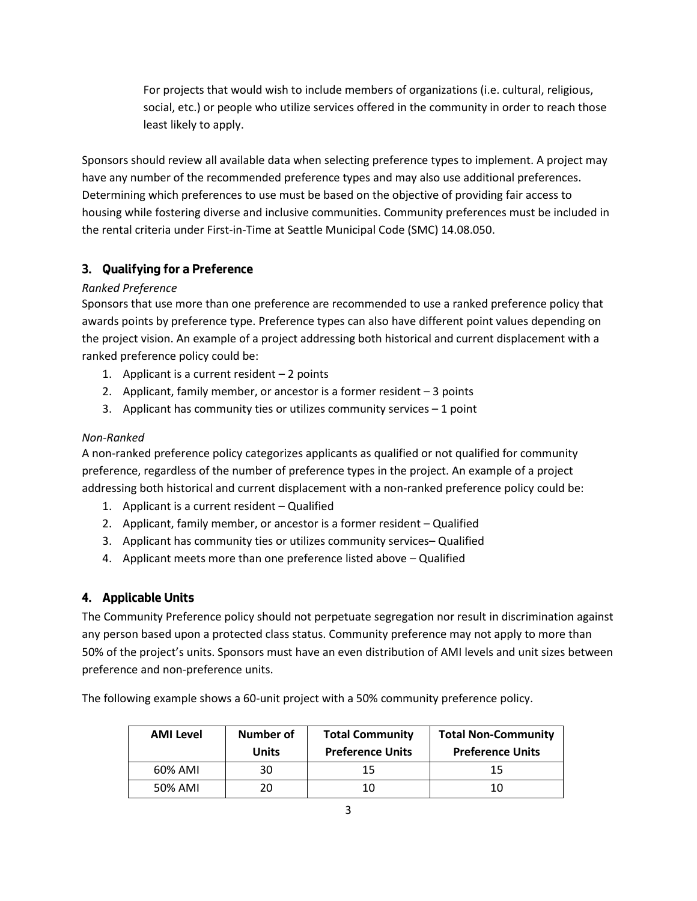For projects that would wish to include members of organizations (i.e. cultural, religious, social, etc.) or people who utilize services offered in the community in order to reach those least likely to apply.

Sponsors should review all available data when selecting preference types to implement. A project may have any number of the recommended preference types and may also use additional preferences. Determining which preferences to use must be based on the objective of providing fair access to housing while fostering diverse and inclusive communities. Community preferences must be included in the rental criteria under First-in-Time at Seattle Municipal Code (SMC) 14.08.050.

# **3. Qualifying for a Preference**

## *Ranked Preference*

Sponsors that use more than one preference are recommended to use a ranked preference policy that awards points by preference type. Preference types can also have different point values depending on the project vision. An example of a project addressing both historical and current displacement with a ranked preference policy could be:

- 1. Applicant is a current resident 2 points
- 2. Applicant, family member, or ancestor is a former resident 3 points
- 3. Applicant has community ties or utilizes community services 1 point

## *Non-Ranked*

A non-ranked preference policy categorizes applicants as qualified or not qualified for community preference, regardless of the number of preference types in the project. An example of a project addressing both historical and current displacement with a non-ranked preference policy could be:

- 1. Applicant is a current resident Qualified
- 2. Applicant, family member, or ancestor is a former resident Qualified
- 3. Applicant has community ties or utilizes community services– Qualified
- 4. Applicant meets more than one preference listed above Qualified

# **4. Applicable Units**

The Community Preference policy should not perpetuate segregation nor result in discrimination against any person based upon a protected class status. Community preference may not apply to more than 50% of the project's units. Sponsors must have an even distribution of AMI levels and unit sizes between preference and non-preference units.

The following example shows a 60-unit project with a 50% community preference policy.

| <b>AMI Level</b> | <b>Number of</b><br><b>Units</b> | <b>Total Community</b><br><b>Preference Units</b> | <b>Total Non-Community</b><br><b>Preference Units</b> |
|------------------|----------------------------------|---------------------------------------------------|-------------------------------------------------------|
| 60% AMI          | 30                               |                                                   |                                                       |
| 50% AMI          | 20                               |                                                   |                                                       |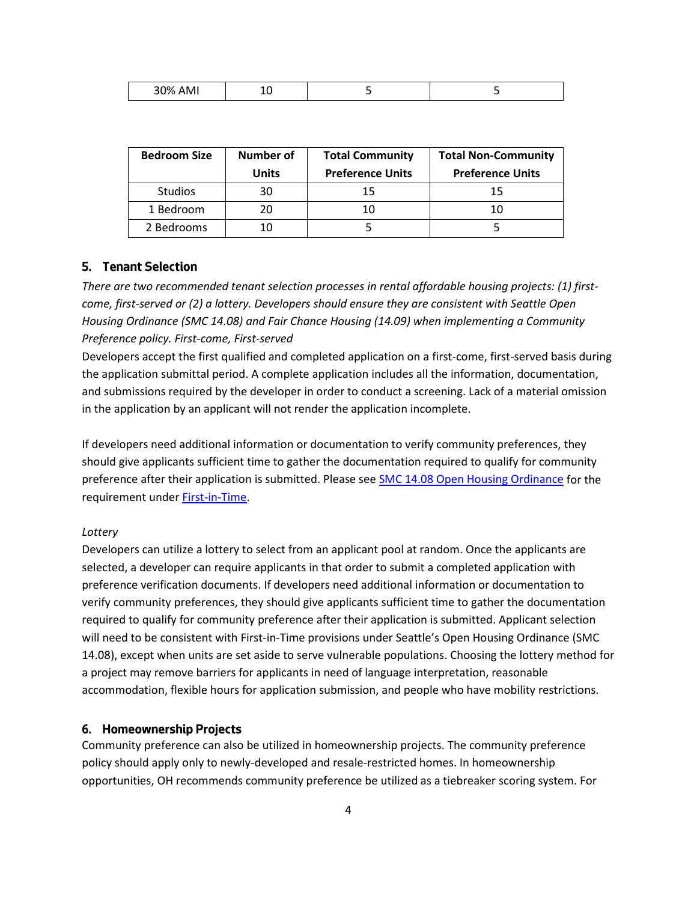| 200<br>.<br>- - | -- |  |  |
|-----------------|----|--|--|
|-----------------|----|--|--|

| <b>Bedroom Size</b> | <b>Number of</b> | <b>Total Community</b>  | <b>Total Non-Community</b> |
|---------------------|------------------|-------------------------|----------------------------|
|                     | <b>Units</b>     | <b>Preference Units</b> | <b>Preference Units</b>    |
| <b>Studios</b>      | 30               | 15                      | 15                         |
| 1 Bedroom           | 20               | 10                      |                            |
| 2 Bedrooms          | 10               |                         |                            |

#### **5. Tenant Selection**

*There are two recommended tenant selection processes in rental affordable housing projects: (1) firstcome, first-served or (2) a lottery. Developers should ensure they are consistent with Seattle Open Housing Ordinance (SMC 14.08) and Fair Chance Housing (14.09) when implementing a Community Preference policy. First-come, First-served*

Developers accept the first qualified and completed application on a first-come, first-served basis during the application submittal period. A complete application includes all the information, documentation, and submissions required by the developer in order to conduct a screening. Lack of a material omission in the application by an applicant will not render the application incomplete.

If developers need additional information or documentation to verify community preferences, they should give applicants sufficient time to gather the documentation required to qualify for community preference after their application is submitted. Please see [SMC 14.08 Open Housing Ordinance](https://library.municode.com/wa/seattle/codes/municipal_code?nodeId=TIT14HURI_CH14.08UNHOPR_14.08.050FI-T) for the requirement under [First-in-Time.](https://www.seattle.gov/civilrights/civil-rights/fair-housing/first-in-time)

#### *Lottery*

Developers can utilize a lottery to select from an applicant pool at random. Once the applicants are selected, a developer can require applicants in that order to submit a completed application with preference verification documents. If developers need additional information or documentation to verify community preferences, they should give applicants sufficient time to gather the documentation required to qualify for community preference after their application is submitted. Applicant selection will need to be consistent with First-in-Time provisions under Seattle's Open Housing Ordinance (SMC 14.08), except when units are set aside to serve vulnerable populations. Choosing the lottery method for a project may remove barriers for applicants in need of language interpretation, reasonable accommodation, flexible hours for application submission, and people who have mobility restrictions.

#### **6. Homeownership Projects**

Community preference can also be utilized in homeownership projects. The community preference policy should apply only to newly-developed and resale-restricted homes. In homeownership opportunities, OH recommends community preference be utilized as a tiebreaker scoring system. For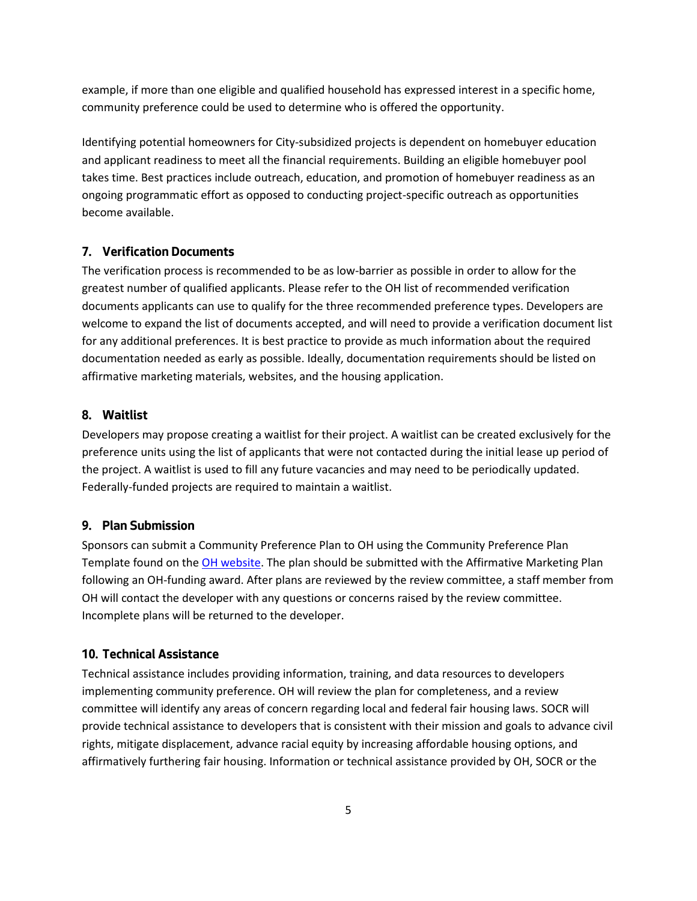example, if more than one eligible and qualified household has expressed interest in a specific home, community preference could be used to determine who is offered the opportunity.

Identifying potential homeowners for City-subsidized projects is dependent on homebuyer education and applicant readiness to meet all the financial requirements. Building an eligible homebuyer pool takes time. Best practices include outreach, education, and promotion of homebuyer readiness as an ongoing programmatic effort as opposed to conducting project-specific outreach as opportunities become available.

#### **7. Verification Documents**

The verification process is recommended to be as low-barrier as possible in order to allow for the greatest number of qualified applicants. Please refer to the OH list of recommended verification documents applicants can use to qualify for the three recommended preference types. Developers are welcome to expand the list of documents accepted, and will need to provide a verification document list for any additional preferences. It is best practice to provide as much information about the required documentation needed as early as possible. Ideally, documentation requirements should be listed on affirmative marketing materials, websites, and the housing application.

#### **8. Waitlist**

Developers may propose creating a waitlist for their project. A waitlist can be created exclusively for the preference units using the list of applicants that were not contacted during the initial lease up period of the project. A waitlist is used to fill any future vacancies and may need to be periodically updated. Federally-funded projects are required to maintain a waitlist.

#### **9. Plan Submission**

Sponsors can submit a Community Preference Plan to OH using the Community Preference Plan Template found on the [OH website.](http://www.seattle.gov/housing/programs-and-initiatives/community-preference) The plan should be submitted with the Affirmative Marketing Plan following an OH-funding award. After plans are reviewed by the review committee, a staff member from OH will contact the developer with any questions or concerns raised by the review committee. Incomplete plans will be returned to the developer.

#### **10. Technical Assistance**

Technical assistance includes providing information, training, and data resources to developers implementing community preference. OH will review the plan for completeness, and a review committee will identify any areas of concern regarding local and federal fair housing laws. SOCR will provide technical assistance to developers that is consistent with their mission and goals to advance civil rights, mitigate displacement, advance racial equity by increasing affordable housing options, and affirmatively furthering fair housing. Information or technical assistance provided by OH, SOCR or the